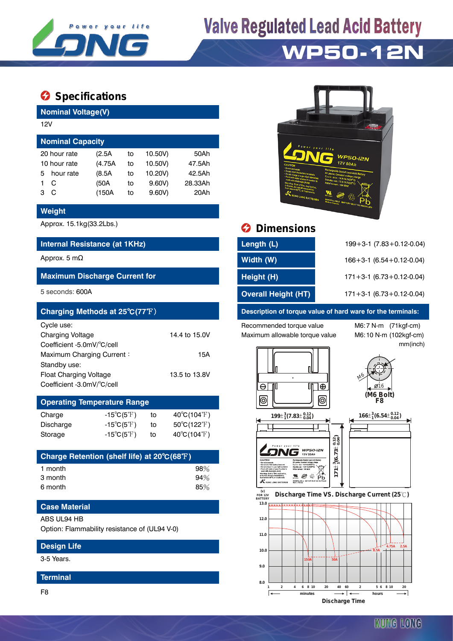

# **Valve Regulated Lead Acid Battery**

## **WP50-12N**

### $\bullet$  Specifications

**Nominal Voltage(V)**

| 12V                     |              |         |    |         |         |  |  |  |  |
|-------------------------|--------------|---------|----|---------|---------|--|--|--|--|
| <b>Nominal Capacity</b> |              |         |    |         |         |  |  |  |  |
|                         | 20 hour rate | (2.5A   | to | 10.50V) | 50Ah    |  |  |  |  |
| 10 hour rate            |              | (4.75A) | to | 10.50V) | 47.5Ah  |  |  |  |  |
| 5                       | hour rate    | (8.5A)  | to | 10.20V) | 42.5Ah  |  |  |  |  |
|                         | C            | (50A    | to | 9.60V   | 28.33Ah |  |  |  |  |
| з                       | C            | (150A   | to | 9.60V   | 20Ah    |  |  |  |  |

#### **Weight**

#### **Internal Resistance (at 1KHz)**

#### **Maximum Discharge Current for**

| Charging Methods at 25°C(77°F) |               |
|--------------------------------|---------------|
| Cycle use:                     |               |
| <b>Charging Voltage</b>        | 14.4 to 15.0V |
| Coefficient -5.0mV/°C/cell     |               |
| Maximum Charging Current:      | 15A           |
| Standby use:                   |               |
| Float Charging Voltage         | 13.5 to 13.8V |
| Coefficient -3.0mV/°C/cell     |               |

### **Operating Temperature Range**

| Charge    | $-15^{\circ}C(5^{\circ}F)$ | to | $40^{\circ}$ C(104 $^{\circ}$ F) |
|-----------|----------------------------|----|----------------------------------|
| Discharge | $-15^{\circ}C(5^{\circ}F)$ | to | $50^{\circ}$ C(122 $^{\circ}$ F) |
| Storage   | $-15^{\circ}C(5^{\circ}F)$ | to | $40^{\circ}$ C(104 $^{\circ}$ F) |

| Charge Retention (shelf life) at 20°C(68°F) |     |
|---------------------------------------------|-----|
| 1 month                                     | 98% |
| 3 month                                     | 94% |
| 6 month                                     | 85% |

#### **Case Material**

#### ABS UL94 HB

Option: Flammability resistance of (UL94 V-0)

#### **Design Life**

3-5 Years.

#### **Terminal**

F8



## Approx. 15.1kg(33.2Lbs.) **Dimensions**

| Internal Resistance (at 1KHz)        | Length (L)                 | $199 + 3 - 1$ (7.83 + 0.12 - 0.04) |
|--------------------------------------|----------------------------|------------------------------------|
| Approx. 5 m $\Omega$                 | Width (W)                  | $166 + 3 - 1$ (6.54 + 0.12 - 0.04) |
| <b>Maximum Discharge Current for</b> | Height (H)                 | $171 + 3 - 1$ (6.73 + 0.12 - 0.04) |
| 5 seconds: 600A                      | <b>Overall Height (HT)</b> | $171 + 3 - 1$ (6.73 + 0.12 - 0.04) |

#### **Description of torque value of hard ware for the terminals:**

Recommended torque value M6:7 N-m (71kgf-cm) Maximum allowable torque value M6:10 N-m (102kgf-cm)

mm(inch)





 $\mathbf{M} \otimes \mathbf{A}$ 

ruatar<br>K





 **FOR 12V BATTERY Discharge Time VS. Discharge Current (25℃)**